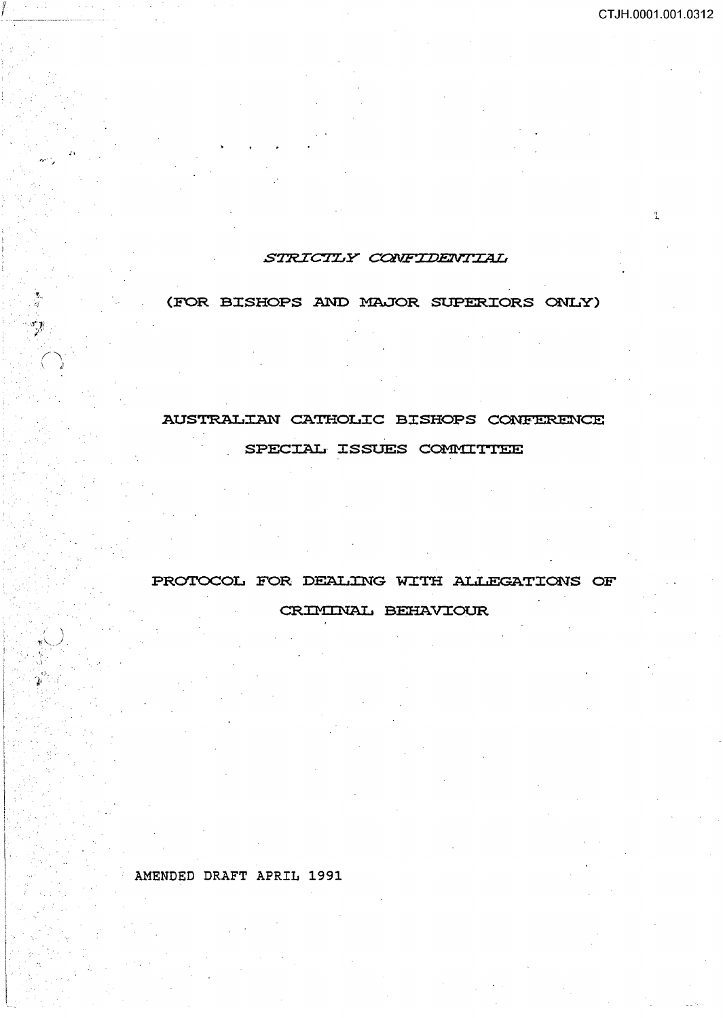., ...

# STRICTLY CONFIDENTIAL

# (FOR BISHOPS AND MAJOR SUPERIORS ONLY)

# AUSTRALIAN CATHOLIC BISHOPS CONFERENCE

# SPECIAL ISSUES COMMITTEE

# PROTOCOL FOR DEALING WITH ALLEGATIONS OF

# CRIMINAL BEHAVIOUR

# AMENDED DRAFT APRIL 1991

If i

*i•* 

 $\left( \begin{array}{cc} \cdot & \cdot \end{array} \right)$ *.,.:\. \_\_\_ .* ./ '·.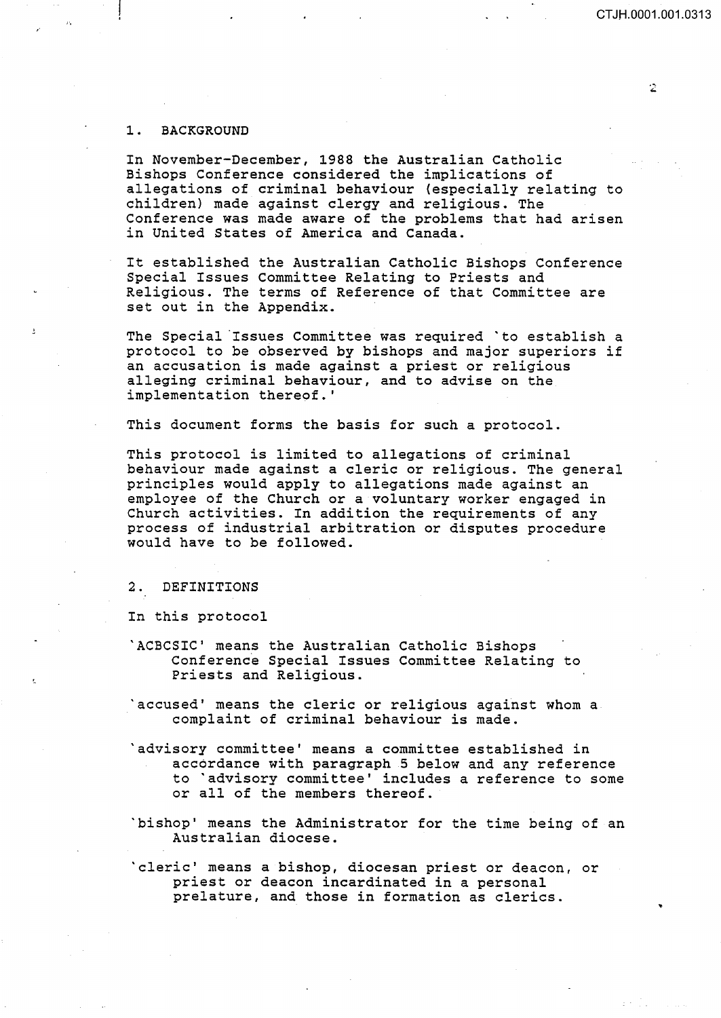## CT JH.0001.001.0313

### l. BACKGROUND

In November-December, 1988 the Australian Catholic Bishops Conference considered the implications of allegations of criminal behaviour (especially relating to children) made against clergy and religious. The Conference was made aware of the problems that had arisen in United States of America and Canada.

It established the Australian Catholic Bishops Conference Special Issues Committee Relating to Priests and Religious. The terms of Reference of that Committee are set out in the Appendix.

The Special Issues Committee was required 'to establish a protocol to be observed by bishops and major superiors if an accusation is made against a priest or religious alleging criminal behaviour, and to advise on the implementation thereof.'

This document forms the basis for such a protocol.

This protocol is limited to allegations of criminal behaviour made against a cleric or religious. The general principles would apply to allegations made against an employee of the Church or a voluntary worker engaged in Church activities. In addition the requirements of any process of industrial arbitration or disputes procedure would have to be followed.

#### 2. DEFINITIONS

In this protocol

- 'ACBCSIC' means the Australian Catholic Bishops Conference Special Issues Committee Relating to Priests and Religious.
- 'accused' means the cleric or religious against whom a complaint of criminal behaviour is made.
- 'advisory committee' means a committee established in accordance with paragraph 5 below and any reference to 'advisory committee' includes a reference to some or all of the members thereof.
- 'bishop' means the Administrator for the time being of an Australian diocese.

'cleric' means a bishop, diocesan priest or deacon, or priest or deacon incardinated in a personal prelature, and those in formation as clerics.

 $\ddot{\mathcal{Z}}$ 

..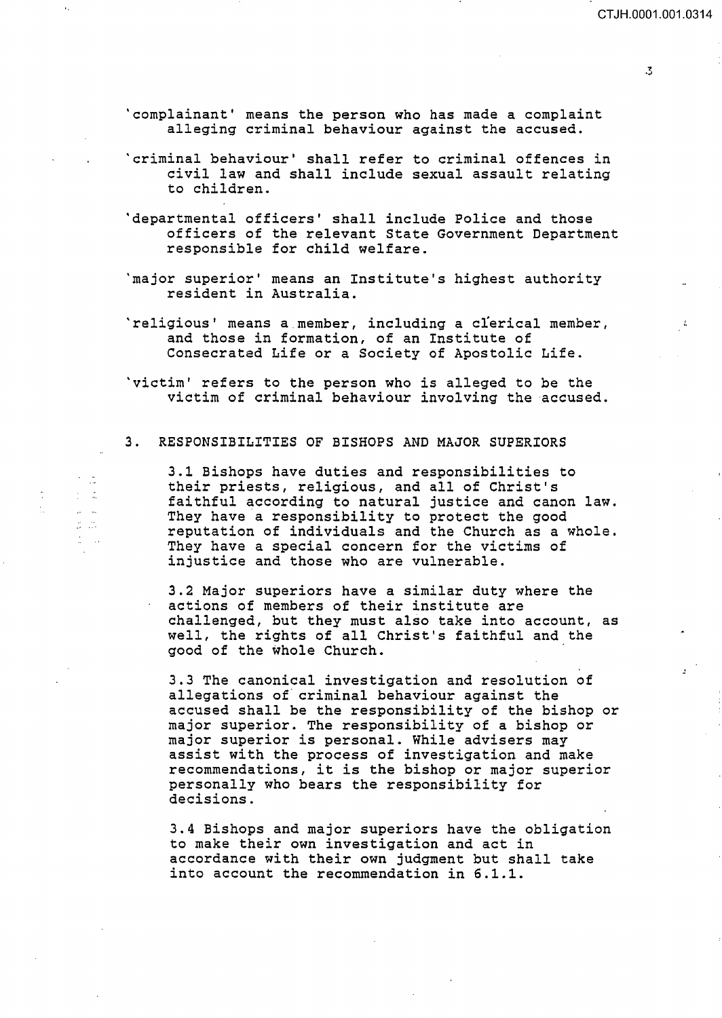$\ddot{\cdot}$ 

'complainant' means the person who has made a complaint alleging criminal behaviour against the accused.

- 'criminal behaviour' shall refer to criminal offences in civil law and shall include sexual assault relating to children.
- 'departmental officers' shall include Police and those officers of the relevant State Government Department responsible for child welfare.
- 'major superior' means an Institute's highest authority resident in Australia.
- 'religious' means a member, including a clerical member, and those in formation, of an Institute of Consecrated Life or a Society of Apostolic Life.
- 'victim' refers to the person who is alleged to be the victim of criminal behaviour involving the accused.

#### 3. RESPONSIBILITIES OF BISHOPS AND MAJOR SUPERIORS

 $\sigma_{\rm{max}}$  $\frac{1}{2}$  ,  $\frac{1}{2}$  $\mu \rightarrow \infty$  $\frac{1}{2\pi} \frac{1}{2} \frac{d^2}{d^2}$  $\frac{1}{\sigma} = \frac{1}{\sigma^2}$  3.1 Bishops have duties and responsibilities to their priests, religious, and all of Christ's faithful according to natural justice and canon law. They have a responsibility to protect the good reputation of individuals and the Church as a whole. They have a special concern for the victims of injustice and those who are vulnerable.

3.2 Major superiors have a similar duty where the actions of members of their institute are challenged, but they must also take into account, as well, the rights of all Christ's faithful and the good of the whole Church.

3.3 The canonical investigation and resolution of allegations of criminal behaviour against the accused shall be the responsibility of the bishop or major superior. The responsibility of a bishop or major superior: inc responsitinting of a siding assist with the process of investigation and make recommendations, it is the bishop or major superior personally who bears the responsibility for decisions.

3.4 Bishops and major superiors have the obligation to make their own investigation and act in accordance with their own judgment but shall take into account the recommendation in 6.1.1.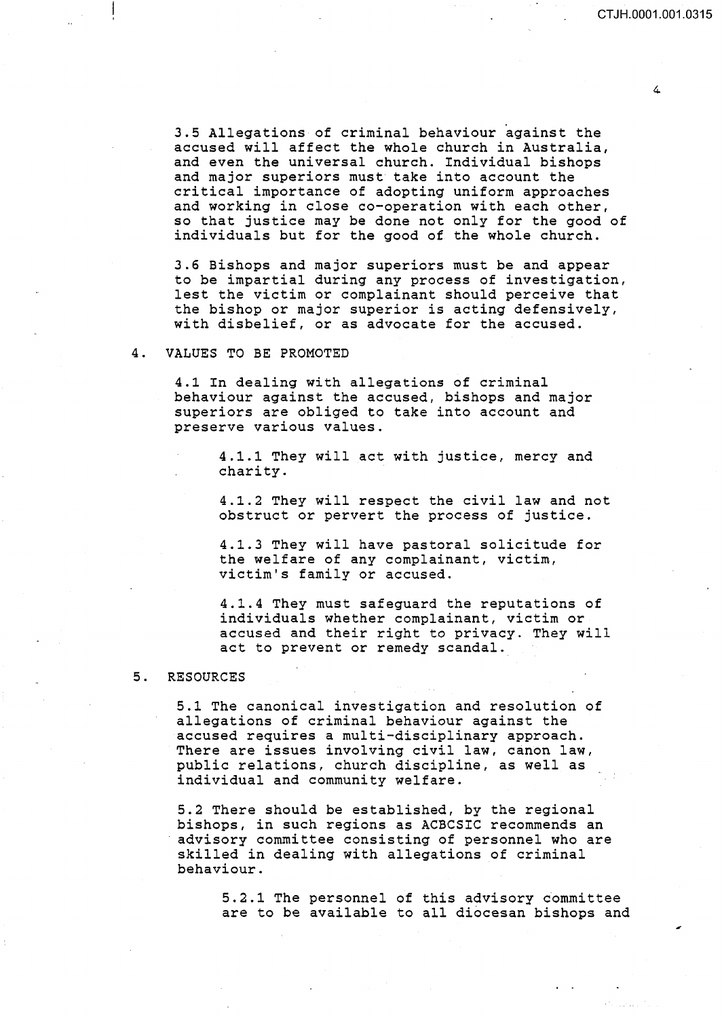$\overline{a}$ 

3.5 Allegations of criminal behaviour against the accused will affect the whole church in Australia, and even the universal church. Individual bishops and major superiors must take into account the critical importance of adopting uniform approaches and working in close co-operation with each other, so that justice may be done not only for the good of individuals but for the good of the whole church.

3.6 Bishops and major superiors must be and appear to be impartial during any process of investigation, lest the victim or complainant should perceive that the bishop or major superior is acting defensively, with disbelief, or as advocate for the accused.

#### 4. VALUES TO BE PROMOTED

4.1 In dealing with allegations of criminal behaviour against the accused, bishops and major superiors are obliged to take into account and preserve various values.

4.1.1 They will act with justice, mercy and charity.

4.1.2 They will respect the civil law and not obstruct or pervert the process of justice.

4.1.3 They will have pastoral solicitude for the welfare of any complainant, victim, victim's family or accused.

4.1.4 They must safeguard the reputations of individuals whether complainant, victim or accused and their right to privacy. They will act to prevent or remedy scandal.

## 5. RESOURCES

5.1 The canonical investigation and resolution of allegations of criminal behaviour against the accused requires a multi-disciplinary approach. There are issues involving civil law, canon law, public relations, church discipline, as well as individual and community welfare.

5.2 There should be established, by the regional bishops, in such regions as ACBCSIC recommends an advisory committee consisting of personnel who are skilled in dealing with allegations of criminal behaviour.

5.2.1 The personnel of this advisory dommittee are to be available to all diocesan bishops and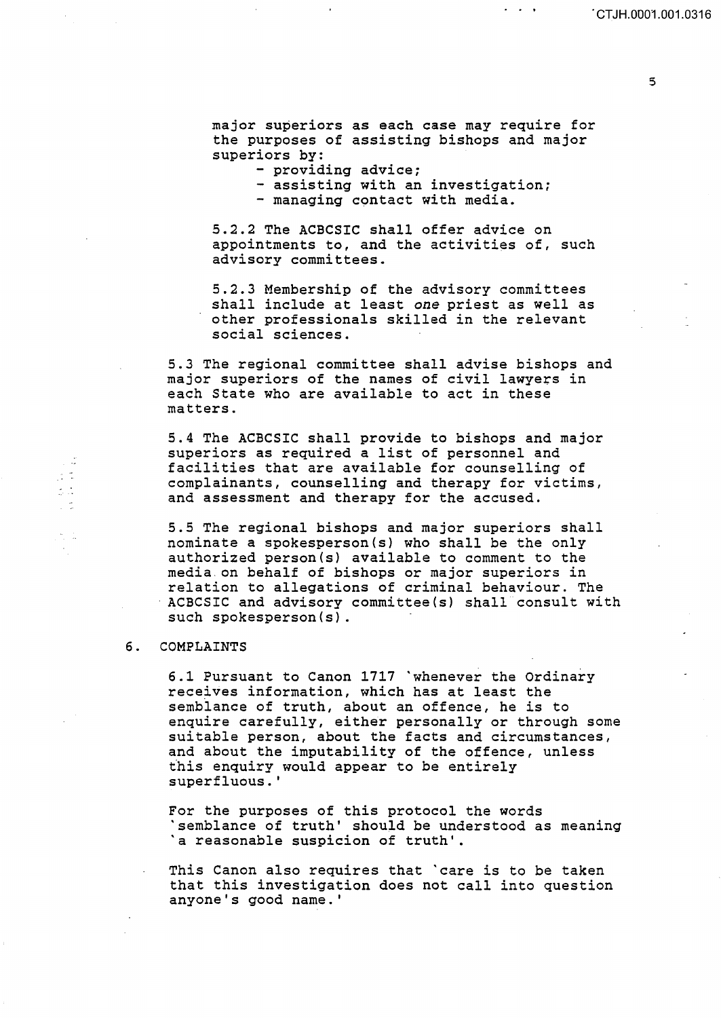$\mathbf{z} = \mathbf{z} - \mathbf{y}$ 

5

major superiors as each case may require for the purposes of assisting bishops and major superiors by:

- providing advice;

- assisting with an investigation;
- managing contact with media.

5.2.2 The ACBCSIC shall offer advice on appointments to, and the activities of, such advisory committees.

5.2.3 Membership of the advisory committees shall include at least *one* priest as well as other professionals skilled in the relevant social sciences.

5.3 The regional committee shall advise bishops and major superiors of the names of civil lawyers in each State who are available to act in these matters.

5.4 The ACBCSIC shall provide to bishops and major superiors as required a list of personnel and facilities that are available for counselling of complainants, counselling and therapy for victims, and assessment and therapy for the accused.

5.5 The regional bishops and major superiors shall nominate a spokesperson(s) who shall be the only authorized person(s) available to comment to the media on behalf of bishops or major superiors in relation to allegations of criminal behaviour. The ACBCSIC and advisory committee(s) shall consult with such spokesperson(s).

## 6. COMPLAINTS

6.1 Pursuant to Canon 1717 'whenever the Ordinary receives information, which has at least the semblance of truth, about an offence, he is to enquire carefully, either personally or through some suitable person, about the facts and circumstances, and about the imputability of the offence, unless this enquiry would appear to be entirely superfluous. '

For the purposes of this protocol the words 'semblance of truth' should be understood as meaning 'a reasonable suspicion of truth'.

This Canon also requires that 'care is to be taken that this investigation does not call into question anyone's good name.'

 $\mathcal{I}^{\mathcal{I}}$  .

s S

 $\frac{1}{2\pi}$  .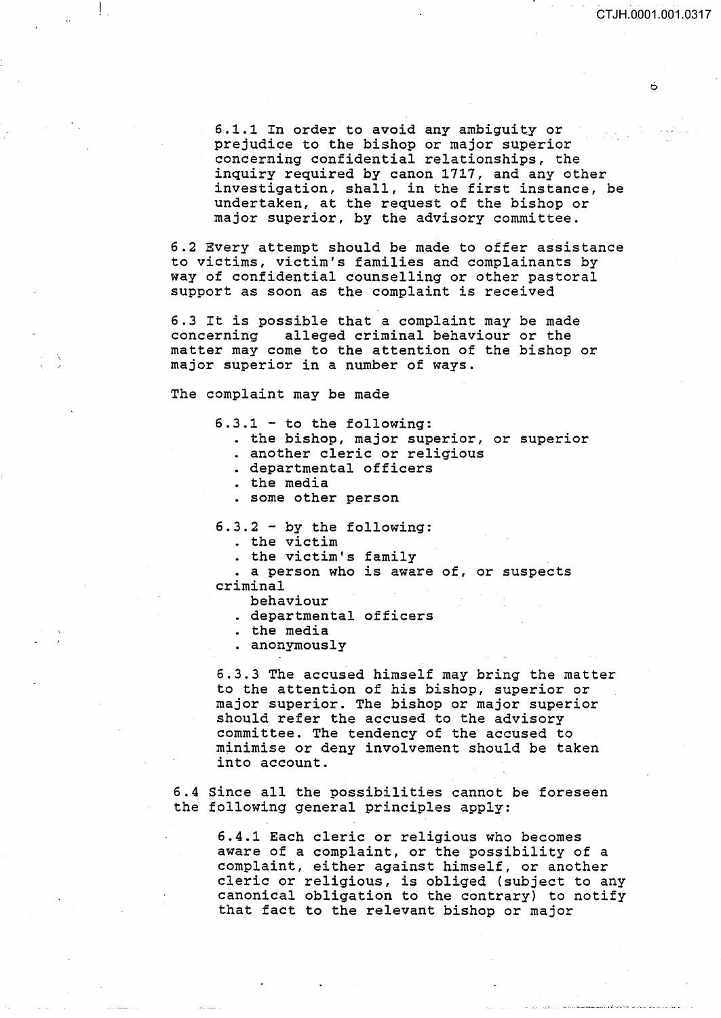B

6.1.1 In order to avoid any ambiguity or prejudice to the bishop or major superior concerning confidential relationships, the inquiry required by canon 1717, and any other investigation, shall, in the first instance, be undertaken, at the request of the bishop or major superior, by the advisory committee.

6.2 Every attempt should be made to offer assistance to victims, victim's families and complainants by way of confidential counselling or other pastoral support as soon as the complaint is received

6.3 It is possible that a complaint may be made concerning alleged criminal behaviour or the matter may come to the attention of the bishop or major superior in a number of ways.

The complaint may be made

 $6.3.1 - to the following:$ 

- the bishop, major superior, or superior
- . another cleric or religious
- . departmental officers
- . the media
- some other person

6.3.2 - by the following:

- . the victim
- . the victim's family

• a person who is aware of, or suspects criminal

- behaviour
- . departmental officers
- . the media
- anonymously

6.3.3 The accused himself may bring the matter to the attention of his bishop, superior or major superior. The bishop or major superior should refer the accused to the advisory committee. The tendency of the accused to minimise or deny involvement should be taken into account.

6.4 Since all the possibilities cannot be foreseen the following general principles apply:

6.4.1 Each cleric or religious who becomes aware of a complaint, or the possibility of a complaint, either against himself, or another cleric or religious, is obliged (subject to any canonical obligation to the contrary) to notify that fact to the relevant bishop or major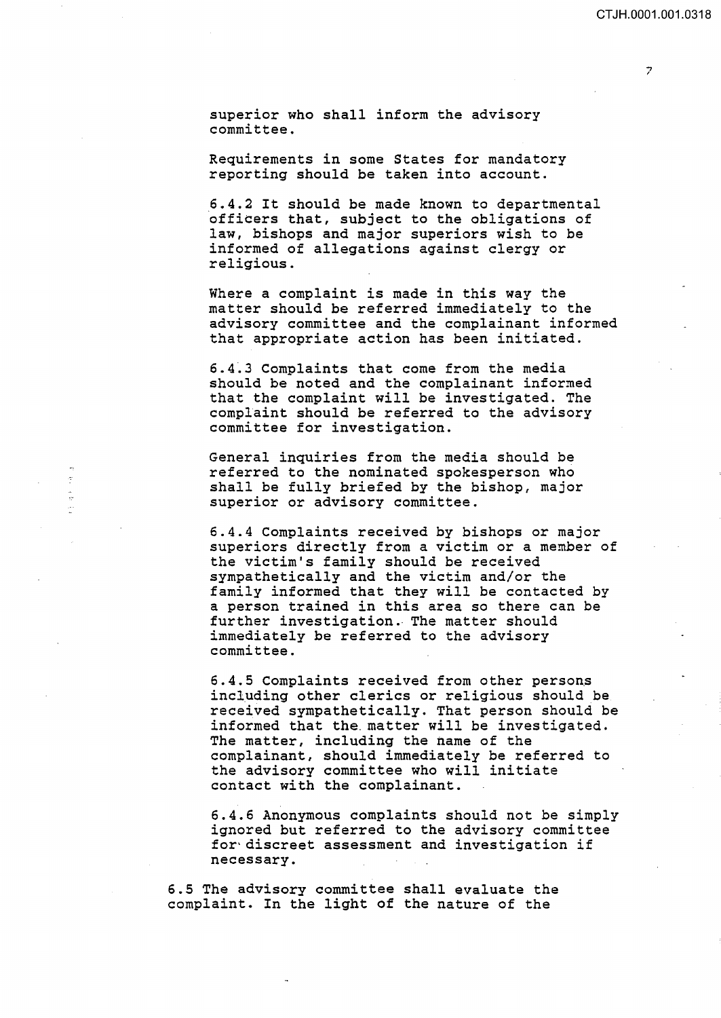superior who shall inform the advisory committee.

Requirements in some States for mandatory reporting should be taken into account.

6.4.2 It should be made known to departmental officers that, subject to the obligations of law, bishops and major superiors wish to be informed of allegations against clergy or religious.

Where a complaint is made in this way the matter should be referred immediately to the advisory committee and the complainant informed that appropriate action has been initiated.

6.4~3 Complaints that come from the media should be noted and the complainant informed that the complaint will be investigated. The complaint should be referred to the advisory committee for investigation.

General inquiries from the media should be referred to the nominated spokesperson who shall be fully briefed by the bishop, major superior or advisory committee.

6.4.4 Complaints received by bishops or major superiors directly from a victim or a member of the victim's family should be received sympathetically and the victim and/or the family informed that they will be contacted by a person trained in this area so there can be further investigation. The matter should immediately be referred to the advisory committee.

6.4.5 Complaints received from other persons including other clerics or religious should be received sympathetically. That person should be informed that the. matter will be investigated. The matter, including the name of the complainant, should immediately be referred to the advisory committee who will initiate contact with the complainant.

6.4.6 Anonymous complaints should not be simply ignored but referred to the advisory committee for·discreet assessment and investigation if necessary.

6.5 The advisory committee shall evaluate the complaint. In the light of the nature of the

 $\overline{z}$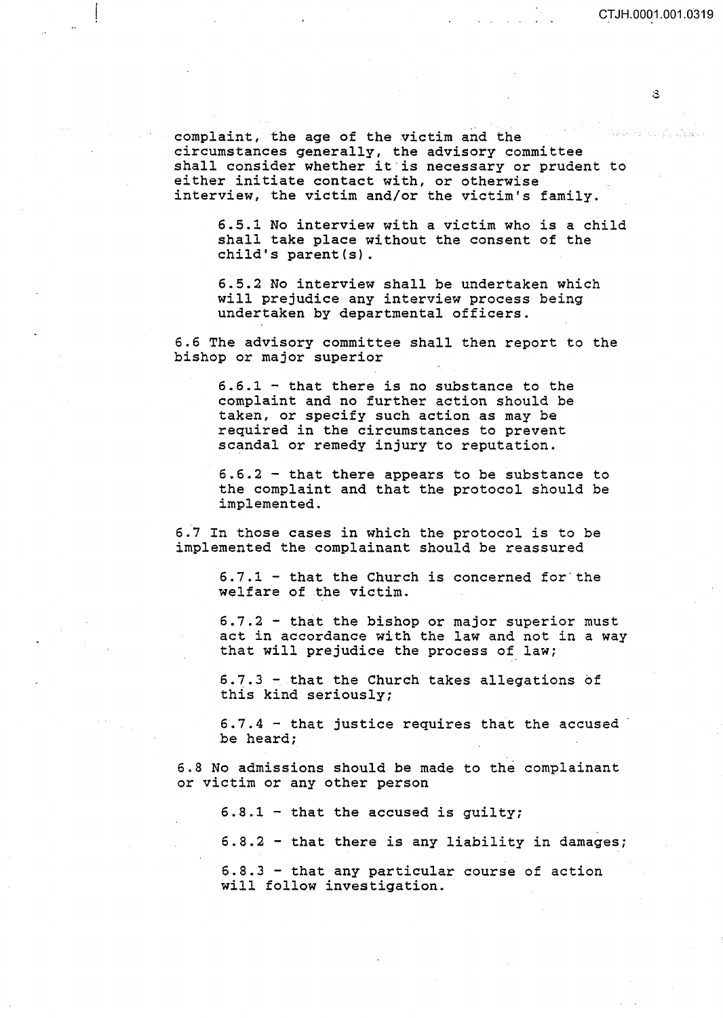S.

complaint, the age of the victim and the circumstances generally, the advisory committee shall consider whether it is necessary or prudent to either initiate contact with, or otherwise interview, the victim and/or the victim's family.

6.5.1 No interview with a victim who is a child shall take place without the consent of the child's parent(s).

6.5.2 No interview shall be undertaken which will prejudice any interview process being undertaken by departmental officers.

6.6 The advisory committee shall then report to the bishop or major superior

6.6.1 - that there is no substance to the complaint and no further action should be taken, or specify such action as may be required in the circumstances to prevent scandal or remedy injury to reputation.

6.6.2 - that there appears to be substance to the complaint and that the protocol should be implemented.

6.7 In those cases in which the protocol is to be implemented the complainant should be reassured

> $6.7.1$  - that the Church is concerned for the welfare of the victim.

 $6.7.2$  - that the bishop or major superior must act in accordance with the law and not in a way that will prejudice the process of law;

6.7.3 - that the Church takes allegations of this kind seriously;

 $6.7.4$  - that justice requires that the accused be heard;

6.8 No admissions should be made to the complainant or victim or any other person

 $6.8.1$  - that the accused is guilty;

6.8.2 - that there is any liability in damages;

6.8.3 - that any particular course of action will follow investigation.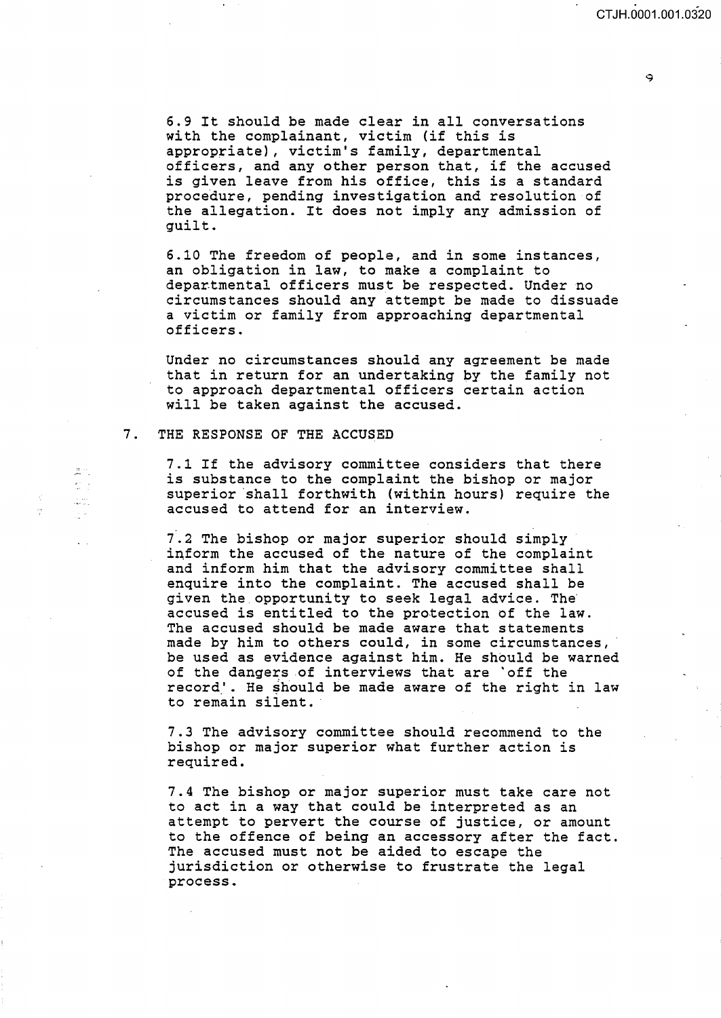6.9 It should be made clear in all conversations with the complainant, victim (if this is appropriate), victim's family, departmental officers, and any other person that, if the accused is given leave from his office, this is a standard procedure, pending investigation and resolution of the allegation. It does not imply any admission of guilt.

6.10 The freedom of people, and in some instances, an obligation in law, to make a complaint to departmental officers must be respected. Under no circumstances should any attempt be made to dissuade a victim or family from approaching departmental officers.

Under no circumstances should any agreement be made that in return for an undertaking by the family not to approach departmental officers certain action will be taken against the accused.

## 7. THE RESPONSE OF THE ACCUSED

 $\frac{1}{2m}$   $\frac{1}{2m}$  $\frac{2\pi}{\pi}$  .  $\mathbb{Z}_{\mathbf{a} \mathbf{b} \mathbf{a} \mathbf{c} \mathbf{a} \mathbf{c} \mathbf{c} \mathbf{c}}$  $\mathcal{L}^{(2)}$ 

7.1 If the advisory committee considers that there is substance to the complaint the bishop or major superior shall forthwith (within hours) require the accused to attend for an interview.

7.2 The bishop or major superior should simply inform the accused of the nature of the complaint and inform him that the advisory committee shall enquire into the complaint. The accused shall be given the opportunity to seek legal advice. Theaccused is entitled to the protection of the law. The accused should be made aware that statements made by him to others could, in some circumstances, be used as evidence against him. He should be warned of the dangers of interviews that are 'off the record'. He should be made aware of the right in law to remain silent.

7.3 The advisory committee should recommend to the bishop or major superior what further action is required.

7.4 The bishop or major superior must take care not to act in a way that could be interpreted as an attempt to pervert the course of justice, or amount to the offence of being an accessory after the fact. The accused must not be aided to escape the jurisdiction or otherwise to frustrate the legal process.

۹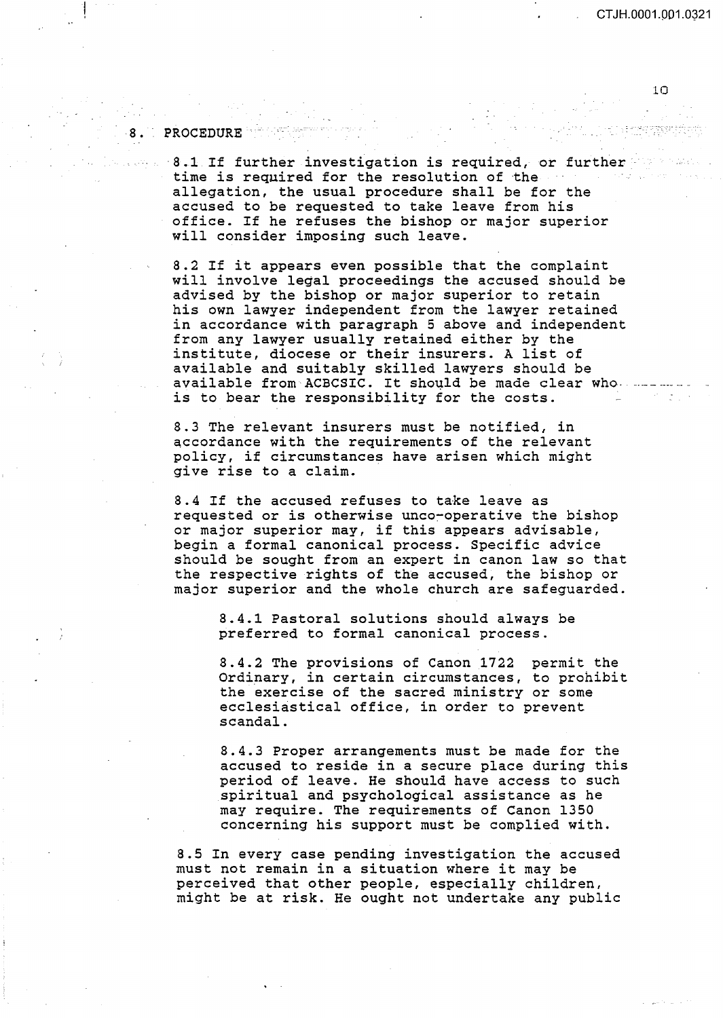CTJH.0001.001.0321

10

#### PROCEDURE

8 •

·8.1 If further investigation is required, or further time is required for the resolution of the allegation, the usual procedure shall be for the accused to be requested to take leave from his office. If he refuses the bishop or major superior will consider imposing such leave.

8.2 If it appears even possible that the complaint will involve legal proceedings the accused should be advised by the bishop or major superior to retain his own lawyer independent from the lawyer retained in accordance with paragraph 5 above and independent from any lawyer usually retained either by the institute, diocese or their insurers. A list of available and suitably skilled lawyers should be available from ACBCSIC. It should be made clear who. is to bear the responsibility for the costs.

8.3 The relevant insurers must be notified, in accordance with the requirements of the relevant policy, if circumstances have arisen which might give rise to a claim.

8.4 If the accused refuses to take leave as requested or is otherwise unco~operative the bishop or major superior may, if this appears advisable, begin a formal canonical process. Specific advice should be sought from an expert in canon law so that the respective rights of the accused, the bishop or major superior and the whole church are safeguarded.

8.4.1 Pastoral solutions should always be preferred to formal canonical process.

8.4.2 The provisions of Canon 1722 permit the Ordinary, in certain circumstances, to prohibit the exercise of the sacred ministry or some ecclesiastical office, in order to prevent scandal.

8.4.3 Proper arrangements must be made for the accused to reside in a secure place during this period of leave. He should have access to such spiritual and psychological assistance as he may require. The requirements of Canon 1350 concerning his support must be complied with.

8.5 In every case pending investigation the accused must not remain in a situation where it may be perceived that other people, especially children, might be at risk. He ought not undertake any public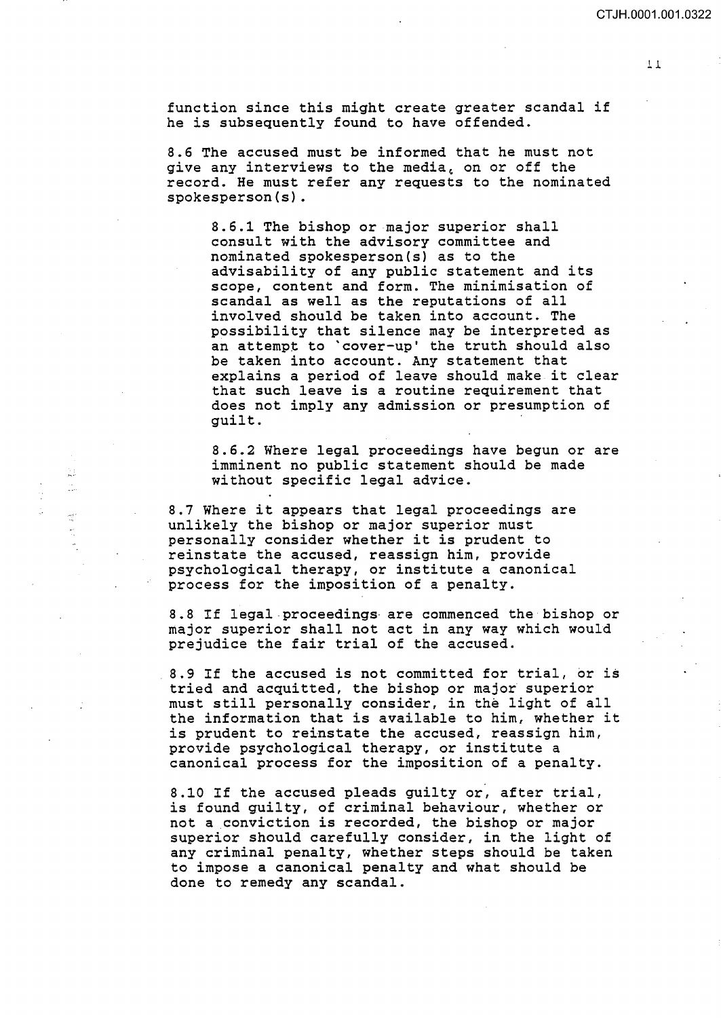function since this might create greater scandal if he is subsequently found to have offended.

8.6 The accused must be informed that he must not give any interviews to the media, on or off the record. He must refer any requests to the nominated spokesperson(s).

8.6.1 The bishop or major superior shall consult with the advisory committee and nominated spokesperson(s) as to the advisability of any public statement and its scope, content and form. The minimisation of scandal as well as the reputations of all involved should be taken into account. The possibility that silence may be interpreted as an attempt to 'cover-up' the truth should also be taken into account. Any statement that explains a period of leave should make it clear that such leave is a routine requirement that does not imply any admission or presumption of guilt.

8.6.2 Where legal proceedings have begun or are imminent no public statement should be made without specific legal advice.

8.7 Where it appears that legal proceedings are unlikely the bishop or major superior must personally consider whether it is prudent to reinstate the accused, reassign him, provide psychological therapy, or institute a canonical process for the imposition of a penalty.

ù÷  $\mathbb{C}^*$ 

 $\frac{\log n}{\log n}$ 

8.8 If legal-proceedings- are commenced the bishop or major superior shall not act in any way which would prejudice the fair trial of the accused.

8.9 If the accused is not committed for trial, or is tried and acquitted, the bishop or major superior must still personally consider, in the light of all the information that is available to him, whether it is prudent to reinstate the accused, reassign him, provide psychological therapy, or institute a canonical process for the imposition of a penalty.

8.10 If the accused pleads guilty or, after trial, is found guilty, of criminal behaviour, whether or not a conviction is recorded, the bishop or major superior should carefully consider, in the light of any criminal penalty, whether steps should be taken to impose a canonical penalty and what should be done to remedy any scandal.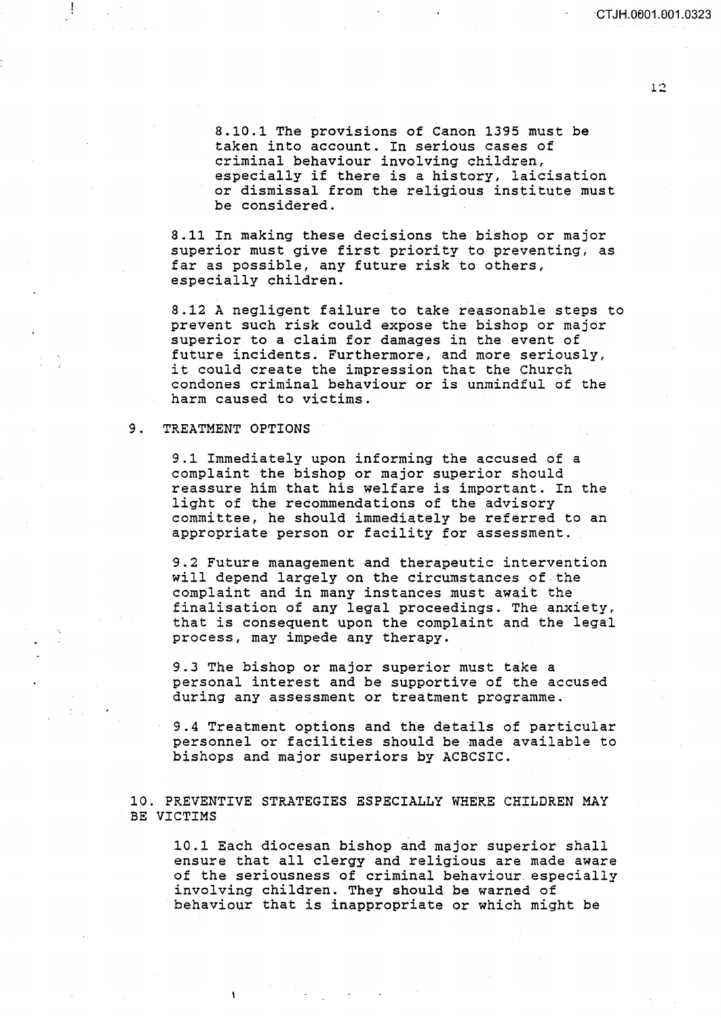·CT JH.OEJ01.001.0323

8.10.1 The provisions of Canon 1395 must be taken into account. In serious cases of criminal behaviour involving children, especially if there is a history, laicisation or dismissal from the religious institute must be considered.

8.11 In making these decisions the bishop or major superior must give first priority to preventing, as far as possible, any future risk to others, especially children.

8.12 A negligent failure to take reasonable steps to prevent such risk could expose the bishop or major superior to a claim for damages in the event of future incidents. Furthermore, and more seriously, it could create the impression that the Church condones criminal behaviour or is unmindful of the harm caused to victims.

## 9. TREATMENT OPTIONS

9.1 Immediately upon informing the accused of a complaint the bishop or major superior should reassure him that his welfare is important. In the light of the recommendations of the advisory committee, he should immediately be referred to an appropriate person or facility for assessment.

9.2 Future management and therapeutic intervention will depend largely on the circumstances of the complaint and in many instances must await the finalisation of any legal proceedings. The anxiety, that is consequent upon the complaint and the legal process, may impede any therapy.

9.3 The bishop or major superior must take a personal interest and be supportive of the accused during any assessment or treatment programme.

9.4 Treatment options and the details of particular personnel or facilities should be made available to bishops and major superiors by ACBCSIC.

10. PREVENTIVE STRATEGIES ESPECIALLY WHERE CHILDREN MAY BE VICTIMS

10.1 Each diocesan bishop and major superior shall ensure that all clergy and religious are made aware of the seriousness of criminal behaviour. especially involving children. They should be warned of behaviour that is inappropriate or which might be

12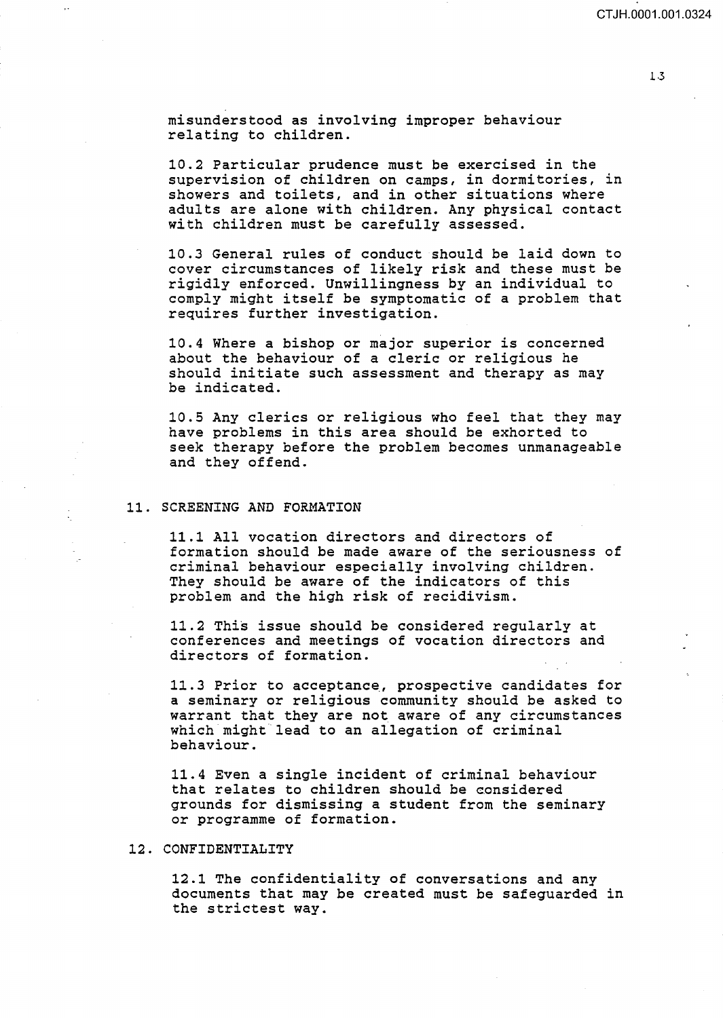misunderstood as involving improper behaviour relating to children.

10.2 Particular prudence must be exercised in the supervision of children on camps, in dormitories, in showers and toilets, and in other situations where adults are alone with children. Any physical contact with children must be carefully assessed.

10.3 General rules of conduct should be laid down to cover circumstances of likely risk and these must be rigidly enforced. Unwillingness by an individual to comply might itself be symptomatic of a problem that requires further investigation.

10.4 Where a bishop or major superior is concerned about the behaviour of a cleric or religious he should initiate such assessment and therapy as may be indicated.

10.5 Any clerics or religious who feel that they may have problems in this area should be exhorted to seek therapy before the problem becomes unmanageable and they offend.

#### 11. SCREENING AND FORMATION

11.1 All vocation directors and directors of formation should be made aware of the seriousness of criminal behaviour especially involving children. They should be aware of the indicators of this problem and the high risk of recidivism.

11.2 This issue should be considered regularly at conferences and meetings of vocation directors and directors of formation.

11.3 Prior to acceptance, prospective candidates for a seminary or religious community should be asked to warrant that they are not aware of any circumstances which might lead to an allegation of criminal behaviour.

11.4 Even a single incident of criminal behaviour that relates to children should be considered grounds for dismissing a student from the seminary or programme of formation.

## 12. CONFIDENTIALITY

12.1 The confidentiality of conversations and any documents that may be created must be safeguarded in the strictest way.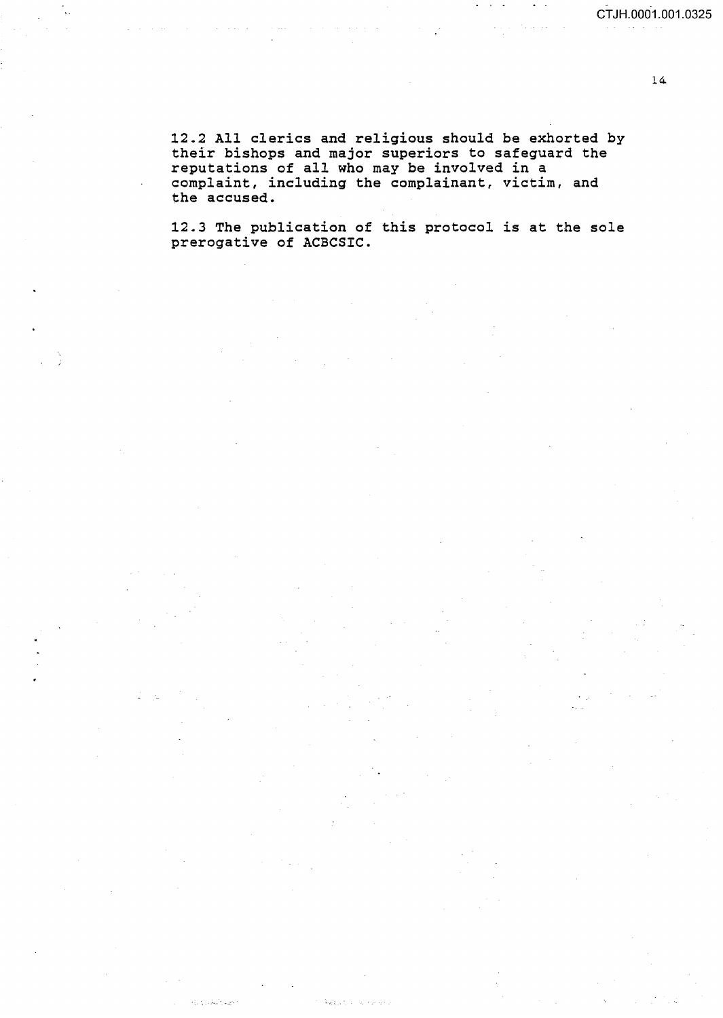14

12.2 All clerics and religious should be exhorted by their bishops and major superiors to safeguard the reputations of all who may be involved in a complaint, including the complainant, victim, and the accused.

 $\mathcal{L}^{\text{max}}_{\text{max}}$ 

12.3 The publication of this protocol is at the sole prerogative of ACBCSIC.

تحولوا الأركز وأرادها

多項して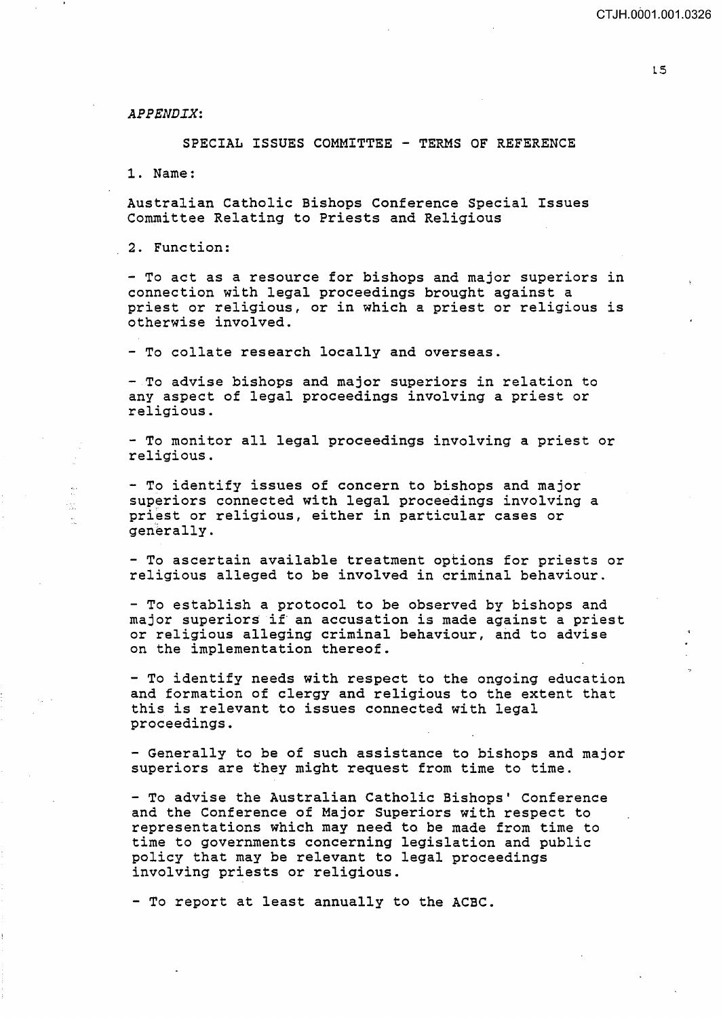*APPENDIX:* 

SPECIAL ISSUES COMMITTEE - TERMS OF REFERENCE

1. Name:

tijt.<br>Vaa  $\bar{\omega}$  Australian Catholic Bishops Conference Special Issues Committee Relating to Priests and Religious

2. Function:

- To act as a resource for bishops and major superiors in connection with legal proceedings brought against a priest or religious, or in which a priest or religious is otherwise involved.

- To collate research locally and overseas.

- To advise bishops and major superiors in relation to any aspect of legal proceedings involving a priest or religious.

- To monitor all legal proceedings involving a priest or religious.

- To identify issues of concern to bishops and major superiors connected with legal proceedings involving a priest or religious, either in particular cases or generally.

- To ascertain available treatment options for priests or religious alleged to be involved in criminal behaviour.

- To establish a protocol to be observed by bishops and major superiors if an accusation is made against a priest or religious alleging criminal behaviour, and to advise on the implementation thereof.

- To identify needs with respect to the ongoing education and formation of clergy and religious to the extent that this is relevant to issues connected with legal proceedings.

- Generally to be of such assistance to bishops and major superiors are they might request from time to time.

-To advise the Australian Catholic Bishops' Conference and the Conference of Major Superiors with respect to representations which may need to be made from time to time to governments concerning legislation and public policy that may be relevant to legal proceedings involving priests or religious.

- To report at least annually to the ACBC.